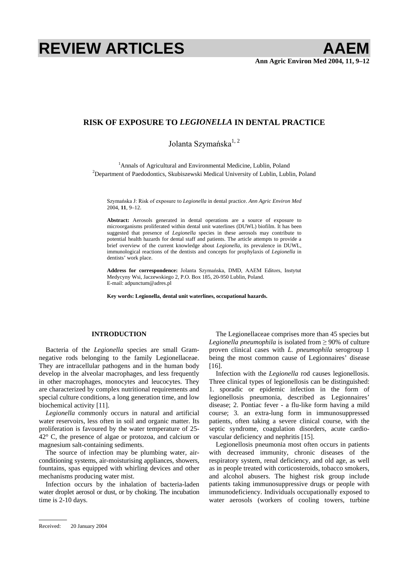# **REVIEW ARTICLES AAEM**

## **RISK OF EXPOSURE TO** *LEGIONELLA* **IN DENTAL PRACTICE**

# Jolanta Szymańska<sup>1, 2</sup>

<sup>1</sup>Annals of Agricultural and Environmental Medicine, Lublin, Poland<br><sup>2</sup>Department of Beededenties, Skubiezewski Medical University of Lublin, Lubli <sup>2</sup>Department of Paedodontics, Skubiszewski Medical University of Lublin, Lublin, Poland

Szymańska J: Risk of exposure to *Legionella* in dental practice. Ann Agric Environ Med 2004, **11**, 9–12.

**Abstract:** Aerosols generated in dental operations are a source of exposure to microorganisms proliferated within dental unit waterlines (DUWL) biofilm. It has been suggested that presence of *Legionella* species in these aerosols may contribute to potential health hazards for dental staff and patients. The article attempts to provide a brief overview of the current knowledge about *Legionella*, its prevalence in DUWL, immunological reactions of the dentists and concepts for prophylaxis of *Legionella* in dentists' work place.

Address for correspondence: Jolanta Szymańska, DMD, AAEM Editors, Instytut Medycyny Wsi, Jaczewskiego 2, P.O. Box 185, 20-950 Lublin, Poland. E-mail: adpunctum@adres.pl

**Key words: Legionella, dental unit waterlines, occupational hazards.** 

## **INTRODUCTION**

Bacteria of the *Legionella* species are small Gramnegative rods belonging to the family Legionellaceae. They are intracellular pathogens and in the human body develop in the alveolar macrophages, and less frequently in other macrophages, monocytes and leucocytes. They are characterized by complex nutritional requirements and special culture conditions, a long generation time, and low biochemical activity [11].

*Legionella* commonly occurs in natural and artificial water reservoirs, less often in soil and organic matter. Its proliferation is favoured by the water temperature of 25- 42° C, the presence of algae or protozoa, and calcium or magnesium salt-containing sediments.

The source of infection may be plumbing water, airconditioning systems, air-moisturising appliances, showers, fountains, spas equipped with whirling devices and other mechanisms producing water mist.

Infection occurs by the inhalation of bacteria-laden water droplet aerosol or dust, or by choking. The incubation time is 2-10 days.

The Legionellaceae comprises more than 45 species but *Legionella pneumophila* is isolated from  $\geq$  90% of culture proven clinical cases with *L. pneumophila* serogroup 1 being the most common cause of Legionnaires' disease [16].

Infection with the *Legionella* rod causes legionellosis. Three clinical types of legionellosis can be distinguished: 1. sporadic or epidemic infection in the form of legionellosis pneumonia, described as Legionnaires' disease; 2. Pontiac fever - a flu-like form having a mild course; 3. an extra-lung form in immunosuppressed patients, often taking a severe clinical course, with the septic syndrome, coagulation disorders, acute cardiovascular deficiency and nephritis [15].

Legionellosis pneumonia most often occurs in patients with decreased immunity, chronic diseases of the respiratory system, renal deficiency, and old age, as well as in people treated with corticosteroids, tobacco smokers, and alcohol abusers. The highest risk group include patients taking immunosuppressive drugs or people with immunodeficiency. Individuals occupationally exposed to water aerosols (workers of cooling towers, turbine

Received: 20 January 2004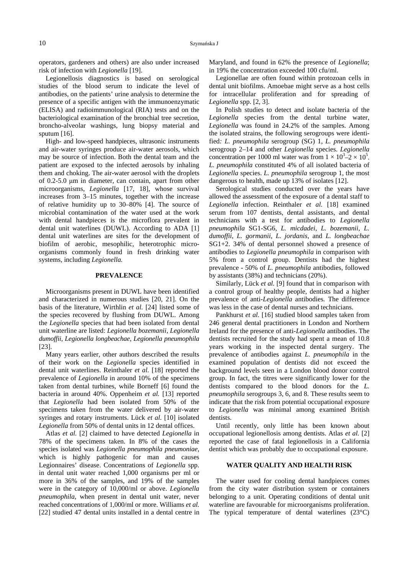operators, gardeners and others) are also under increased risk of infection with *Legionella* [19].

Legionellosis diagnostics is based on serological studies of the blood serum to indicate the level of antibodies, on the patients' urine analysis to determine the presence of a specific antigen with the immunoenzymatic (ELISA) and radioimmunological (RIA) tests and on the bacteriological examination of the bronchial tree secretion, broncho-alveolar washings, lung biopsy material and sputum [16].

High- and low-speed handpieces, ultrasonic instruments and air-water syringes produce air-water aerosols, which may be source of infection. Both the dental team and the patient are exposed to the infected aerosols by inhaling them and choking. The air-water aerosol with the droplets of 0.2-5.0 µm in diameter, can contain, apart from other microorganisms, *Legionella* [17, 18], whose survival increases from 3–15 minutes, together with the increase of relative humidity up to 30–80% [4]. The source of microbial contamination of the water used at the work with dental handpieces is the microflora prevalent in dental unit waterlines (DUWL). According to ADA [1] dental unit waterlines are sites for the development of biofilm of aerobic, mesophilic, heterotrophic microorganisms commonly found in fresh drinking water systems, including *Legionella.*

#### **PREVALENCE**

Microorganisms present in DUWL have been identified and characterized in numerous studies [20, 21]. On the basis of the literature, Wirthlin *et al.* [24] listed some of the species recovered by flushing from DUWL. Among the *Legionella* species that had been isolated from dental unit waterline are listed: *Legionella bozemanii*, *Legionella dumoffii*, *Legionella longbeachae*, *Legionella pneumophila* [23].

Many years earlier, other authors described the results of their work on the *Legionella* species identified in dental unit waterlines. Reinthaler *et al.* [18] reported the prevalence of *Legionella* in around 10% of the specimens taken from dental turbines, while Borneff [6] found the bacteria in around 40%. Oppenheim *et al.* [13] reported that *Legionella* had been isolated from 50% of the specimens taken from the water delivered by air-water syringes and rotary instruments. Lück *et al.* [10] isolated *Legionella* from 50% of dental units in 12 dental offices.

Atlas *et al.* [2] claimed to have detected *Legionella* in 78% of the specimens taken. In 8% of the cases the species isolated was *Legionella pneumophila pneumoniae*, which is highly pathogenic for man and causes Legionnaires' disease. Concentrations of *Legionella* spp. in dental unit water reached 1,000 organisms per ml or more in 36% of the samples, and 19% of the samples were in the category of 10,000/ml or above. *Legionella pneumophila*, when present in dental unit water, never reached concentrations of 1,000/ml or more. Williams *et al.*  [22] studied 47 dental units installed in a dental centre in Maryland, and found in 62% the presence of *Legionella*; in 19% the concentration exceeded 100 cfu/ml.

Legionellae are often found within protozoan cells in dental unit biofilms. Amoebae might serve as a host cells for intracellular proliferation and for spreading of *Legionella* spp. [2, 3].

In Polish studies to detect and isolate bacteria of the *Legionella* species from the dental turbine water, *Legionella* was found in 24.2% of the samples. Among the isolated strains, the following serogroups were identified*: L. pneumophila* serogroup (SG) 1, *L. pneumophila* serogroup 2–14 and other *Legionella* species. *Legionella* concentration per 1000 ml water was from  $1 \times 10^3 - 2 \times 10^5$ . *L. pneumophila* constituted 4% of all isolated bacteria of *Legionella* species. *L. pneumophila* serogroup 1, the most dangerous to health, made up 13% of isolates [12].

Serological studies conducted over the years have allowed the assessment of the exposure of a dental staff to *Legionella* infection. Reinthaler *et al.* [18] examined serum from 107 dentists, dental assistants, and dental technicians with a test for antibodies to *Legionella pneumophila* SG1-SG6, *L. micdadei*, *L. bozemanii*, *L. dumoffii*, *L. gormanii*, *L. jordanis*, and *L. longbeachae* SG1+2. 34% of dental personnel showed a presence of antibodies to *Legionella pneumophila* in comparison with 5% from a control group. Dentists had the highest prevalence - 50% of *L. pneumophila* antibodies, followed by assistants (38%) and technicians (20%).

Similarly, Lück *et al.* [9] found that in comparison with a control group of healthy people, dentists had a higher prevalence of anti-*Legionella* antibodies. The difference was less in the case of dental nurses and technicians.

Pankhurst *et al.* [16] studied blood samples taken from 246 general dental practitioners in London and Northern Ireland for the presence of anti-*Legionella* antibodies. The dentists recruited for the study had spent a mean of 10.8 years working in the inspected dental surgery. The prevalence of antibodies against *L. pneumophila* in the examined population of dentists did not exceed the background levels seen in a London blood donor control group. In fact, the titres were significantly lower for the dentists compared to the blood donors for the *L. pneumophila* serogroups 3, 6, and 8. These results seem to indicate that the risk from potential occupational exposure to *Legionella* was minimal among examined British dentists.

Until recently, only little has been known about occupational legionellosis among dentists. Atlas *et al.* [2] reported the case of fatal legionellosis in a California dentist which was probably due to occupational exposure.

#### **WATER QUALITY AND HEALTH RISK**

The water used for cooling dental handpieces comes from the city water distribution system or containers belonging to a unit. Operating conditions of dental unit waterline are favourable for microorganisms proliferation. The typical temperature of dental waterlines  $(23^{\circ}C)$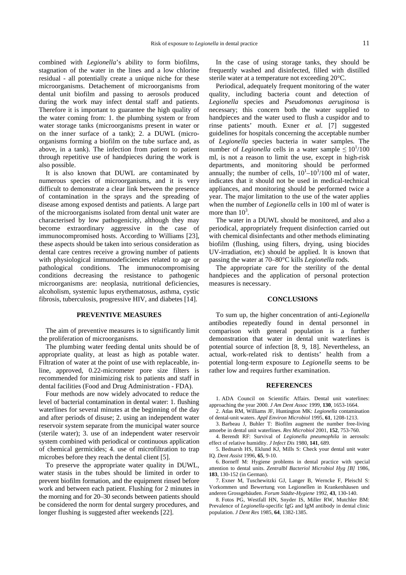combined with *Legionella*'s ability to form biofilms, stagnation of the water in the lines and a low chlorine residual - all potentially create a unique niche for these microorganisms. Detachement of microorganisms from dental unit biofilm and passing to aerosols produced during the work may infect dental staff and patients. Therefore it is important to guarantee the high quality of the water coming from: 1. the plumbing system or from water storage tanks (microorganisms present in water or on the inner surface of a tank); 2. a DUWL (microorganisms forming a biofilm on the tube surface and, as above, in a tank). The infection from patient to patient through repetitive use of handpieces during the work is also possible.

It is also known that DUWL are contaminated by numerous species of microorganisms, and it is very difficult to demonstrate a clear link between the presence of contamination in the sprays and the spreading of disease among exposed dentists and patients. A large part of the microorganisms isolated from dental unit water are characterised by low pathogenicity, although they may become extraordinary aggressive in the case of immunocompromised hosts. According to Williams [23], these aspects should be taken into serious consideration as dental care centres receive a growing number of patients with physiological immunodeficiencies related to age or pathological conditions. The immunocompromising conditions decreasing the resistance to pathogenic microorganisms are: neoplasia, nutritional deficiencies, alcoholism, systemic lupus erythematosus, asthma, cystic fibrosis, tuberculosis, progressive HIV, and diabetes [14].

#### **PREVENTIVE MEASURES**

The aim of preventive measures is to significantly limit the proliferation of microorganisms.

The plumbing water feeding dental units should be of appropriate quality, at least as high as potable water. Filtration of water at the point of use with replaceable, inline, approved, 0.22-micrometer pore size filters is recommended for minimizing risk to patients and staff in dental facilities (Food and Drug Administration - FDA).

Four methods are now widely advocated to reduce the level of bacterial contamination in dental water: 1. flushing waterlines for several minutes at the beginning of the day and after periods of disuse; 2. using an independent water reservoir system separate from the municipal water source (sterile water); 3. use of an independent water reservoir system combined with periodical or continuous application of chemical germicides; 4. use of microfiltration to trap microbes before they reach the dental client [5].

To preserve the appropriate water quality in DUWL, water stasis in the tubes should be limited in order to prevent biofilm formation, and the equipment rinsed before work and between each patient. Flushing for 2 minutes in the morning and for 20–30 seconds between patients should be considered the norm for dental surgery procedures, and longer flushing is suggested after weekends [22].

In the case of using storage tanks, they should be frequently washed and disinfected, filled with distilled sterile water at a temperature not exceeding 20°C.

Periodical, adequately frequent monitoring of the water quality, including bacteria count and detection of *Legionella* species and *Pseudomonas aeruginosa* is necessary; this concern both the water supplied to handpieces and the water used to flush a cuspidor and to rinse patients' mouth. Exner *et al.* [7] suggested guidelines for hospitals concerning the acceptable number of *Legionella* species bacteria in water samples. The number of *Legionella* cells in a water sample  $\leq 10^{1/100}$ ml, is not a reason to limit the use, except in high-risk departments, and monitoring should be performed annually; the number of cells,  $10^1 - 10^3 / 100$  ml of water, indicates that it should not be used in medical-technical appliances, and monitoring should be performed twice a year. The major limitation to the use of the water applies when the number of *Legionella* cells in 100 ml of water is more than  $10^3$ .

The water in a DUWL should be monitored, and also a periodical, appropriately frequent disinfection carried out with chemical disinfectants and other methods eliminating biofilm (flushing, using filters, drying, using biocides UV-irradiation, etc) should be applied. It is known that passing the water at 70–80°C kills *Legionella* rods.

The appropriate care for the sterility of the dental handpieces and the application of personal protection measures is necessary.

#### **CONCLUSIONS**

To sum up, the higher concentration of anti-*Legionella* antibodies repeatedly found in dental personnel in comparison with general population is a further demonstration that water in dental unit waterlines is potential source of infection [8, 9, 18]. Nevertheless, an actual, work-related risk to dentists' health from a potential long-term exposure to *Legionella* seems to be rather low and requires further examination.

#### **REFERENCES**

1. ADA Council on Scientific Affairs. Dental unit waterlines: approaching the year 2000. *J Am Dent Assoc* 1999, **130**, 1653-1664.

2. Atlas RM, Williams JF, Huntington MK: *Legionella* contamination of dental-unit waters. *Appl Environ Microbiol* 1995, **61**, 1208-1213.

3. Barbeau J, Buhler T: Biofilm augment the number free-living amoebe in dental unit waterlines. *Res Microbiol* 2001, **152**, 753-760.

4. Berendt RF: Survival of *Legionella pneumophila* in aerosols: effect of relative humidity. *J Infect Dis* 1980, **141**, 689.

5. Bednarsh HS, Eklund KJ, Mills S: Check your dental unit water IQ. *Dent Assist* 1996, **65**, 9-10.

6. Borneff M: Hygiene problems in dental practice with special attention to dental units. *Zentralbl Bacteriol Microbiol Hyg [B]* 1986, **183**, 130-152 (in German).

7. Exner M, Tuschewitzki GJ, Langer B, Werncke F, Pleischl S: Vorkommen und Bewertung von Legionellen in Krankenhäusen und anderen Grossgebäuden. *Forum Städte-Hygiene* 1992, **43**, 130-140.

8. Fotos PG, Westfall HN, Snyder IS, Miller RW, Mutchler BM: Prevalence of *Legionella*-specific IgG and IgM antibody in dental clinic population. *J Dent Res* 1985, **64**, 1382-1385.